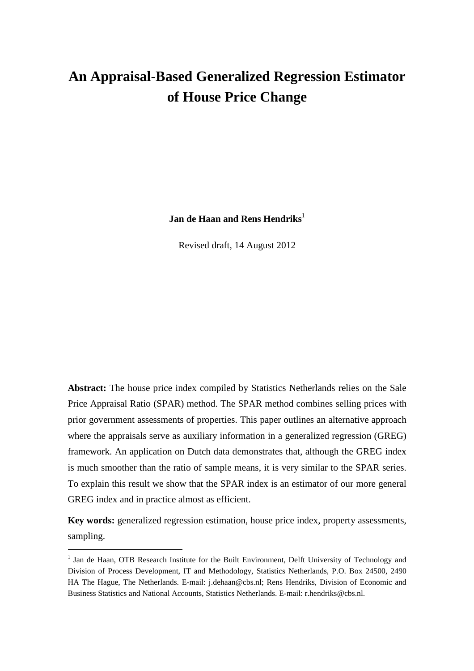# **An Appraisal-Based Generalized Regression Estimator of House Price Change**

**Jan de Haan and Rens Hendriks**<sup>1</sup>

Revised draft, 14 August 2012

**Abstract:** The house price index compiled by Statistics Netherlands relies on the Sale Price Appraisal Ratio (SPAR) method. The SPAR method combines selling prices with prior government assessments of properties. This paper outlines an alternative approach where the appraisals serve as auxiliary information in a generalized regression (GREG) framework. An application on Dutch data demonstrates that, although the GREG index is much smoother than the ratio of sample means, it is very similar to the SPAR series. To explain this result we show that the SPAR index is an estimator of our more general GREG index and in practice almost as efficient.

**Key words:** generalized regression estimation, house price index, property assessments, sampling.

 $\overline{a}$ 

<sup>&</sup>lt;sup>1</sup> Jan de Haan, OTB Research Institute for the Built Environment, Delft University of Technology and Division of Process Development, IT and Methodology, Statistics Netherlands, P.O. Box 24500, 2490 HA The Hague, The Netherlands. E-mail: j.dehaan@cbs.nl; Rens Hendriks, Division of Economic and Business Statistics and National Accounts, Statistics Netherlands. E-mail: r.hendriks@cbs.nl.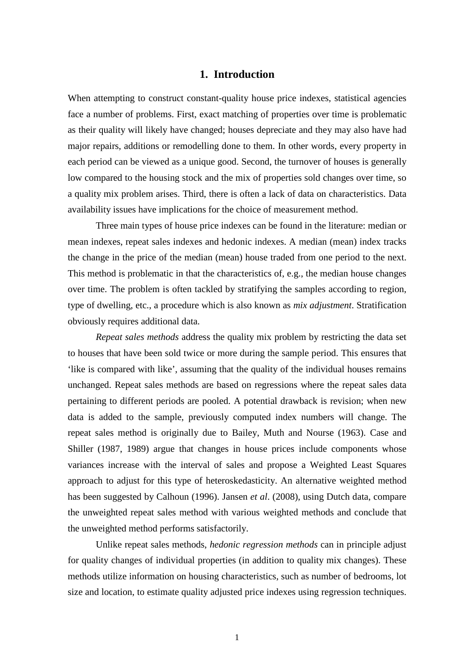## **1. Introduction**

When attempting to construct constant-quality house price indexes, statistical agencies face a number of problems. First, exact matching of properties over time is problematic as their quality will likely have changed; houses depreciate and they may also have had major repairs, additions or remodelling done to them. In other words, every property in each period can be viewed as a unique good. Second, the turnover of houses is generally low compared to the housing stock and the mix of properties sold changes over time, so a quality mix problem arises. Third, there is often a lack of data on characteristics. Data availability issues have implications for the choice of measurement method.

Three main types of house price indexes can be found in the literature: median or mean indexes, repeat sales indexes and hedonic indexes. A median (mean) index tracks the change in the price of the median (mean) house traded from one period to the next. This method is problematic in that the characteristics of, e.g., the median house changes over time. The problem is often tackled by stratifying the samples according to region, type of dwelling, etc., a procedure which is also known as *mix adjustment*. Stratification obviously requires additional data.

*Repeat sales methods* address the quality mix problem by restricting the data set to houses that have been sold twice or more during the sample period. This ensures that 'like is compared with like', assuming that the quality of the individual houses remains unchanged. Repeat sales methods are based on regressions where the repeat sales data pertaining to different periods are pooled. A potential drawback is revision; when new data is added to the sample, previously computed index numbers will change. The repeat sales method is originally due to Bailey, Muth and Nourse (1963). Case and Shiller (1987, 1989) argue that changes in house prices include components whose variances increase with the interval of sales and propose a Weighted Least Squares approach to adjust for this type of heteroskedasticity. An alternative weighted method has been suggested by Calhoun (1996). Jansen *et al*. (2008), using Dutch data, compare the unweighted repeat sales method with various weighted methods and conclude that the unweighted method performs satisfactorily.

Unlike repeat sales methods, *hedonic regression methods* can in principle adjust for quality changes of individual properties (in addition to quality mix changes). These methods utilize information on housing characteristics, such as number of bedrooms, lot size and location, to estimate quality adjusted price indexes using regression techniques.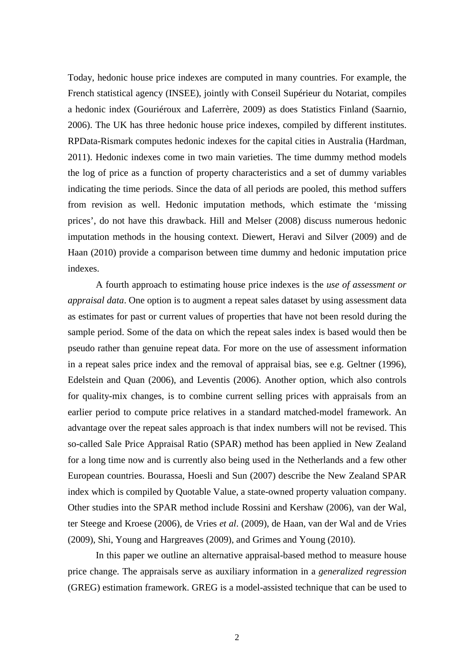Today, hedonic house price indexes are computed in many countries. For example, the French statistical agency (INSEE), jointly with Conseil Supérieur du Notariat, compiles a hedonic index (Gouriéroux and Laferrère, 2009) as does Statistics Finland (Saarnio, 2006). The UK has three hedonic house price indexes, compiled by different institutes. RPData-Rismark computes hedonic indexes for the capital cities in Australia (Hardman, 2011). Hedonic indexes come in two main varieties. The time dummy method models the log of price as a function of property characteristics and a set of dummy variables indicating the time periods. Since the data of all periods are pooled, this method suffers from revision as well. Hedonic imputation methods, which estimate the 'missing prices', do not have this drawback. Hill and Melser (2008) discuss numerous hedonic imputation methods in the housing context. Diewert, Heravi and Silver (2009) and de Haan (2010) provide a comparison between time dummy and hedonic imputation price indexes.

A fourth approach to estimating house price indexes is the *use of assessment or appraisal data*. One option is to augment a repeat sales dataset by using assessment data as estimates for past or current values of properties that have not been resold during the sample period. Some of the data on which the repeat sales index is based would then be pseudo rather than genuine repeat data. For more on the use of assessment information in a repeat sales price index and the removal of appraisal bias, see e.g. Geltner (1996), Edelstein and Quan (2006), and Leventis (2006). Another option, which also controls for quality-mix changes, is to combine current selling prices with appraisals from an earlier period to compute price relatives in a standard matched-model framework. An advantage over the repeat sales approach is that index numbers will not be revised. This so-called Sale Price Appraisal Ratio (SPAR) method has been applied in New Zealand for a long time now and is currently also being used in the Netherlands and a few other European countries. Bourassa, Hoesli and Sun (2007) describe the New Zealand SPAR index which is compiled by Quotable Value, a state-owned property valuation company. Other studies into the SPAR method include Rossini and Kershaw (2006), van der Wal, ter Steege and Kroese (2006), de Vries *et al*. (2009), de Haan, van der Wal and de Vries (2009), Shi, Young and Hargreaves (2009), and Grimes and Young (2010).

In this paper we outline an alternative appraisal-based method to measure house price change. The appraisals serve as auxiliary information in a *generalized regression* (GREG) estimation framework. GREG is a model-assisted technique that can be used to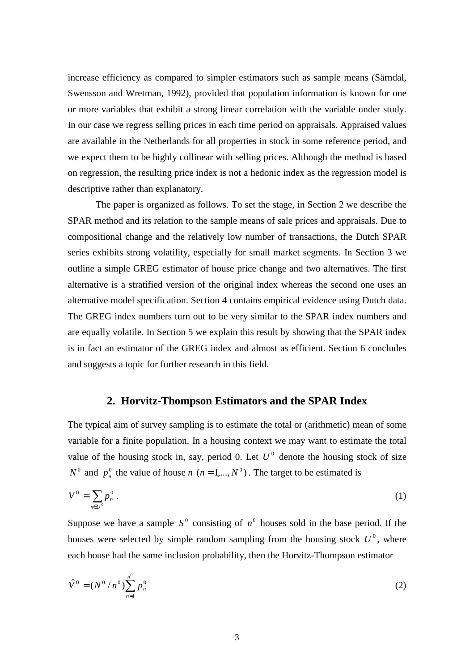increase efficiency as compared to simpler estimators such as sample means (Särndal, Swensson and Wretman, 1992), provided that population information is known for one or more variables that exhibit a strong linear correlation with the variable under study. In our case we regress selling prices in each time period on appraisals. Appraised values are available in the Netherlands for all properties in stock in some reference period, and we expect them to be highly collinear with selling prices. Although the method is based on regression, the resulting price index is not a hedonic index as the regression model is descriptive rather than explanatory.

The paper is organized as follows. To set the stage, in Section 2 we describe the SPAR method and its relation to the sample means of sale prices and appraisals. Due to compositional change and the relatively low number of transactions, the Dutch SPAR series exhibits strong volatility, especially for small market segments. In Section 3 we outline a simple GREG estimator of house price change and two alternatives. The first alternative is a stratified version of the original index whereas the second one uses an alternative model specification. Section 4 contains empirical evidence using Dutch data. The GREG index numbers turn out to be very similar to the SPAR index numbers and are equally volatile. In Section 5 we explain this result by showing that the SPAR index is in fact an estimator of the GREG index and almost as efficient. Section 6 concludes and suggests a topic for further research in this field.

## **2. Horvitz-Thompson Estimators and the SPAR Index**

The typical aim of survey sampling is to estimate the total or (arithmetic) mean of some variable for a finite population. In a housing context we may want to estimate the total value of the housing stock in, say, period 0. Let  $U^0$  denote the housing stock of size  $N^0$  and  $p_n^0$  the value of house *n* (*n* = 1,...,  $N^0$ ). The target to be estimated is

$$
V^0 = \sum_{n \in U^0} p_n^0 \,. \tag{1}
$$

Suppose we have a sample  $S^0$  consisting of  $n^0$  houses sold in the base period. If the houses were selected by simple random sampling from the housing stock  $U^0$ , where each house had the same inclusion probability, then the Horvitz-Thompson estimator

$$
\hat{V}^0 = (N^0/n^0) \sum_{n=1}^{n^0} p_n^0
$$
\n(2)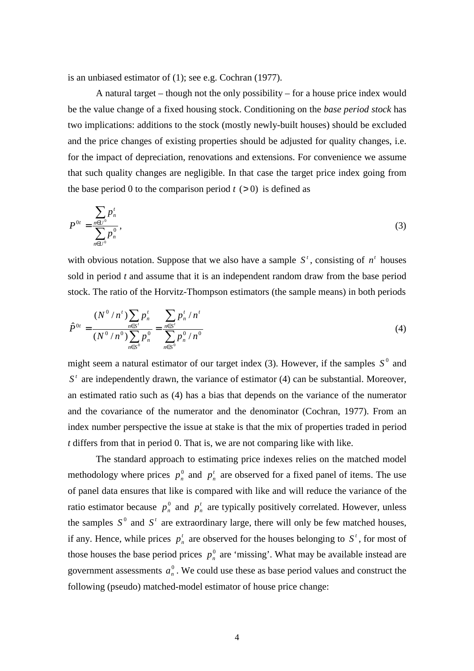is an unbiased estimator of (1); see e.g. Cochran (1977).

A natural target – though not the only possibility – for a house price index would be the value change of a fixed housing stock. Conditioning on the *base period stock* has two implications: additions to the stock (mostly newly-built houses) should be excluded and the price changes of existing properties should be adjusted for quality changes, i.e. for the impact of depreciation, renovations and extensions. For convenience we assume that such quality changes are negligible. In that case the target price index going from the base period 0 to the comparison period  $t$  ( $> 0$ ) is defined as

$$
P^{0t} = \frac{\sum_{n \in U^0} p_n^t}{\sum_{n \in U^0} p_n^0},
$$
 (3)

with obvious notation. Suppose that we also have a sample  $S<sup>t</sup>$ , consisting of  $n<sup>t</sup>$  houses sold in period *t* and assume that it is an independent random draw from the base period stock. The ratio of the Horvitz-Thompson estimators (the sample means) in both periods

$$
\hat{P}^{0t} = \frac{(N^0/n^t)\sum_{n\in S'} p_n^t}{(N^0/n^0)\sum_{n\in S^0} p_n^0} = \frac{\sum_{n\in S'} p_n^t/n^t}{\sum_{n\in S^0} p_n^0/n^0}
$$
\n(4)

might seem a natural estimator of our target index  $(3)$ . However, if the samples  $S^0$  and  $S<sup>t</sup>$  are independently drawn, the variance of estimator (4) can be substantial. Moreover, an estimated ratio such as (4) has a bias that depends on the variance of the numerator and the covariance of the numerator and the denominator (Cochran, 1977). From an index number perspective the issue at stake is that the mix of properties traded in period *t* differs from that in period 0. That is, we are not comparing like with like.

The standard approach to estimating price indexes relies on the matched model methodology where prices  $p_n^0$  and  $p_n^t$  are observed for a fixed panel of items. The use of panel data ensures that like is compared with like and will reduce the variance of the ratio estimator because  $p_n^0$  and  $p_n^t$  are typically positively correlated. However, unless the samples  $S^0$  and  $S^t$  are extraordinary large, there will only be few matched houses, if any. Hence, while prices  $p_n^t$  are observed for the houses belonging to  $S^t$ , for most of those houses the base period prices  $p_n^0$  are 'missing'. What may be available instead are government assessments  $a_n^0$ . We could use these as base period values and construct the following (pseudo) matched-model estimator of house price change: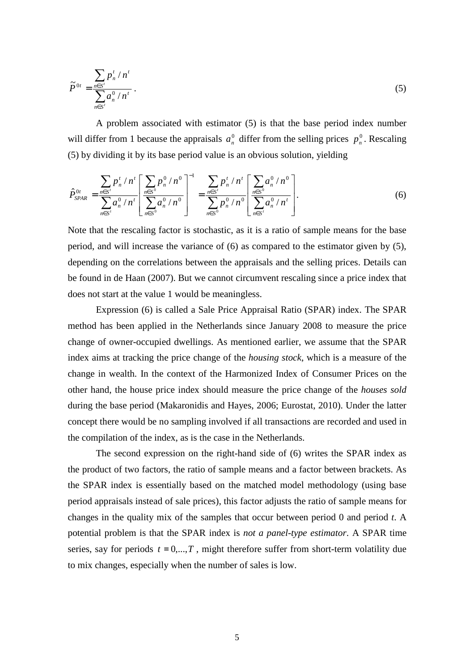$$
\widetilde{P}^{0t} = \frac{\sum_{n \in S'} p_n^t / n^t}{\sum_{n \in S'} a_n^0 / n^t}.
$$
\n(5)

A problem associated with estimator (5) is that the base period index number will differ from 1 because the appraisals  $a_n^0$  differ from the selling prices  $p_n^0$ . Rescaling (5) by dividing it by its base period value is an obvious solution, yielding

$$
\hat{P}_{SPAR}^{0t} = \frac{\sum_{n \in S'} p_n^t / n^t}{\sum_{n \in S'} a_n^0 / n^t} \left[ \frac{\sum_{n \in S^0} p_n^0 / n^0}{\sum_{n \in S^0} a_n^0 / n^0} \right]^{-1} = \frac{\sum_{n \in S'} p_n^t / n^t}{\sum_{n \in S^0} p_n^0 / n^0} \left[ \frac{\sum_{n \in S^0} a_n^0 / n^0}{\sum_{n \in S'} a_n^0 / n^t} \right].
$$
\n(6)

Note that the rescaling factor is stochastic, as it is a ratio of sample means for the base period, and will increase the variance of (6) as compared to the estimator given by (5), depending on the correlations between the appraisals and the selling prices. Details can be found in de Haan (2007). But we cannot circumvent rescaling since a price index that does not start at the value 1 would be meaningless.

Expression (6) is called a Sale Price Appraisal Ratio (SPAR) index. The SPAR method has been applied in the Netherlands since January 2008 to measure the price change of owner-occupied dwellings. As mentioned earlier, we assume that the SPAR index aims at tracking the price change of the *housing stock*, which is a measure of the change in wealth. In the context of the Harmonized Index of Consumer Prices on the other hand, the house price index should measure the price change of the *houses sold* during the base period (Makaronidis and Hayes, 2006; Eurostat, 2010). Under the latter concept there would be no sampling involved if all transactions are recorded and used in the compilation of the index, as is the case in the Netherlands.

The second expression on the right-hand side of (6) writes the SPAR index as the product of two factors, the ratio of sample means and a factor between brackets. As the SPAR index is essentially based on the matched model methodology (using base period appraisals instead of sale prices), this factor adjusts the ratio of sample means for changes in the quality mix of the samples that occur between period 0 and period *t*. A potential problem is that the SPAR index is *not a panel-type estimator*. A SPAR time series, say for periods  $t = 0, \ldots, T$ , might therefore suffer from short-term volatility due to mix changes, especially when the number of sales is low.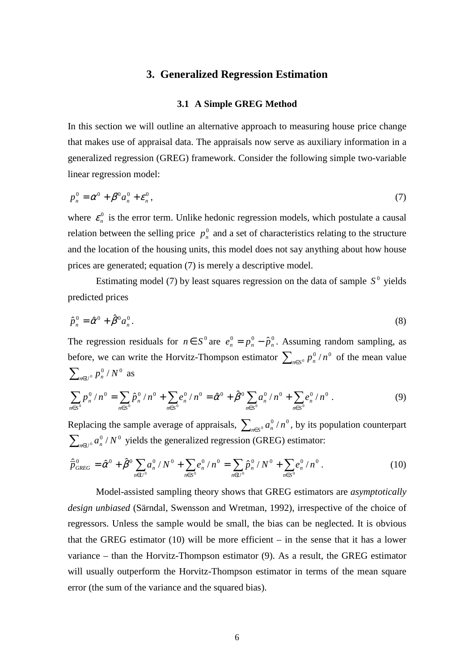## **3. Generalized Regression Estimation**

#### **3.1 A Simple GREG Method**

In this section we will outline an alternative approach to measuring house price change that makes use of appraisal data. The appraisals now serve as auxiliary information in a generalized regression (GREG) framework. Consider the following simple two-variable linear regression model:

$$
p_n^0 = \alpha^0 + \beta^0 a_n^0 + \varepsilon_n^0, \tag{7}
$$

where  $\varepsilon_n^0$  is the error term. Unlike hedonic regression models, which postulate a causal relation between the selling price  $p_n^0$  and a set of characteristics relating to the structure and the location of the housing units, this model does not say anything about how house prices are generated; equation (7) is merely a descriptive model.

Estimating model (7) by least squares regression on the data of sample  $S^0$  yields predicted prices

$$
\hat{p}_n^0 = \hat{\alpha}^0 + \hat{\beta}^0 a_n^0. \tag{8}
$$

The regression residuals for  $n \in S^0$  are  $e_n^0 = p_n^0 - \hat{p}_n^0$ . Assuming random sampling, as before, we can write the Horvitz-Thompson estimator  $\sum_{n \in S^0} p_n^0 / n^0$  of the mean value  $\sum_{n\in U^{0}} p_{n}^{0} / N^{0}$  as

$$
\sum_{n\in S^0} p_n^0 / n^0 = \sum_{n\in S^0} \hat{p}_n^0 / n^0 + \sum_{n\in S^0} e_n^0 / n^0 = \hat{\alpha}^0 + \hat{\beta}^0 \sum_{n\in S^0} a_n^0 / n^0 + \sum_{n\in S^0} e_n^0 / n^0.
$$
 (9)

Replacing the sample average of appraisals,  $\sum_{n\in S^0} a_n^0/n^0$ , by its population counterpart  $\sum_{n\in U^0} a_n^0/N^0$  yields the generalized regression (GREG) estimator:

$$
\hat{\overline{p}}_{GREG}^{0} = \hat{\alpha}^{0} + \hat{\beta}^{0} \sum_{n \in U^{0}} a_{n}^{0} / N^{0} + \sum_{n \in S^{0}} e_{n}^{0} / n^{0} = \sum_{n \in U^{0}} \hat{p}_{n}^{0} / N^{0} + \sum_{n \in S^{0}} e_{n}^{0} / n^{0}.
$$
\n(10)

Model-assisted sampling theory shows that GREG estimators are *asymptotically design unbiased* (Särndal, Swensson and Wretman, 1992), irrespective of the choice of regressors. Unless the sample would be small, the bias can be neglected. It is obvious that the GREG estimator (10) will be more efficient – in the sense that it has a lower variance – than the Horvitz-Thompson estimator (9). As a result, the GREG estimator will usually outperform the Horvitz-Thompson estimator in terms of the mean square error (the sum of the variance and the squared bias).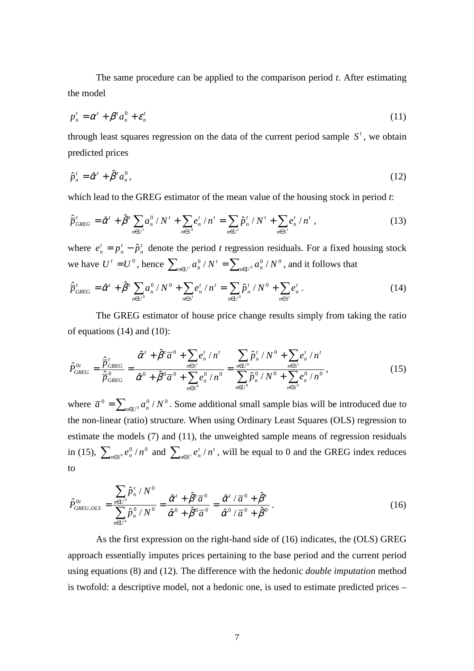The same procedure can be applied to the comparison period *t*. After estimating the model

$$
p_n^t = \alpha^t + \beta^t a_n^0 + \varepsilon_n^t \tag{11}
$$

through least squares regression on the data of the current period sample  $S<sup>t</sup>$ , we obtain predicted prices

$$
\hat{p}_n^t = \hat{\alpha}^t + \hat{\beta}^t a_n^0,\tag{12}
$$

which lead to the GREG estimator of the mean value of the housing stock in period *t*:

$$
\hat{\overline{p}}_{GREG}^t = \hat{\alpha}^t + \hat{\beta}^t \sum_{n \in U^t} a_n^0 / N^t + \sum_{n \in S^0} e_n^t / n^t = \sum_{n \in U^t} \hat{p}_n^t / N^t + \sum_{n \in S^t} e_n^t / n^t , \qquad (13)
$$

where  $e_n^t = p_n^t - \hat{p}_n^t$ *t n t*  $e_n^t = p_n^t - \hat{p}_n^t$  denote the period *t* regression residuals. For a fixed housing stock we have  $U^t = U^0$ , hence  $\sum_{n \in U^t} a_n^0 / N^t = \sum_{n \in U^0} a_n^0 / N^0$ , and it follows that

$$
\hat{\overline{p}}_{GREG}^t = \hat{\alpha}^t + \hat{\beta}^t \sum_{n \in U^0} a_n^0 / N^0 + \sum_{n \in S^t} e_n^t / n^t = \sum_{n \in U^0} \hat{p}_n^t / N^0 + \sum_{n \in S^t} e_n^t.
$$
\n(14)

The GREG estimator of house price change results simply from taking the ratio of equations (14) and (10):

$$
\hat{P}_{GREG}^{0t} = \frac{\hat{\overline{P}}_{GREG}^{t}}{\hat{\overline{P}}_{GREG}^{0}} = \frac{\hat{\alpha}^{t} + \hat{\beta}^{t} \overline{a}^{0} + \sum_{n \in S'} e_{n}^{t} / n^{t}}{\hat{\alpha}^{0} + \hat{\beta}^{0} \overline{a}^{0} + \sum_{n \in S^{0}} e_{n}^{0} / n^{0}} = \frac{\sum_{n \in U^{0}} \hat{p}_{n}^{t} / N^{0} + \sum_{n \in S'} e_{n}^{t} / n^{t}}{\sum_{n \in U^{0}} \hat{p}_{n}^{0} / N^{0} + \sum_{n \in S^{0}} e_{n}^{0} / n^{0}},
$$
\n(15)

where  $\bar{a}^0 = \sum_{n \in U^0} a_n^0 / N^0$ . Some additional small sample bias will be introduced due to the non-linear (ratio) structure. When using Ordinary Least Squares (OLS) regression to estimate the models (7) and (11), the unweighted sample means of regression residuals in (15),  $\sum_{n \in S^0} e_n^0 / n^0$  and  $\sum_{n \in S'} e_n^t / n^t$  $\sum_{n \in S'} e_n^t / n^t$ , will be equal to 0 and the GREG index reduces to

$$
\hat{P}_{GREG,OLS}^{0t} = \frac{\sum_{n\in U^{0}} \hat{P}_{n}^{t} / N^{0}}{\sum_{n\in U^{0}} \hat{P}_{n}^{0} / N^{0}} = \frac{\hat{\alpha}^{t} + \hat{\beta}^{t} \overline{a}^{0}}{\hat{\alpha}^{0} + \hat{\beta}^{0} \overline{a}^{0}} = \frac{\hat{\alpha}^{t} / \overline{a}^{0} + \hat{\beta}^{t}}{\hat{\alpha}^{0} / \overline{a}^{0} + \hat{\beta}^{0}}.
$$
\n(16)

As the first expression on the right-hand side of (16) indicates, the (OLS) GREG approach essentially imputes prices pertaining to the base period and the current period using equations (8) and (12). The difference with the hedonic *double imputation* method is twofold: a descriptive model, not a hedonic one, is used to estimate predicted prices –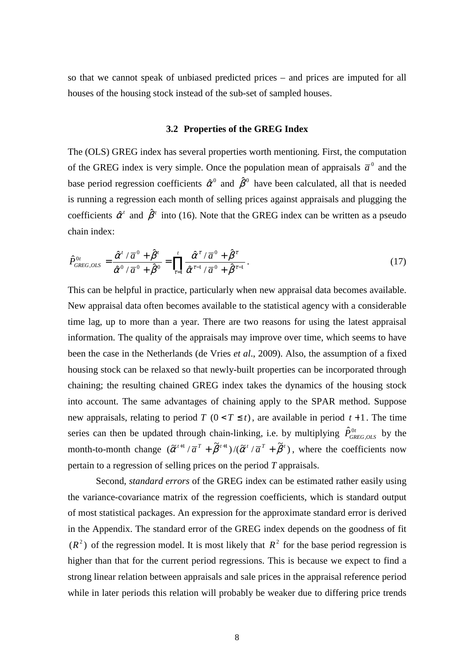so that we cannot speak of unbiased predicted prices – and prices are imputed for all houses of the housing stock instead of the sub-set of sampled houses.

#### **3.2 Properties of the GREG Index**

The (OLS) GREG index has several properties worth mentioning. First, the computation of the GREG index is very simple. Once the population mean of appraisals  $\bar{a}^0$  and the base period regression coefficients  $\hat{\alpha}^0$  and  $\hat{\beta}^0$  have been calculated, all that is needed is running a regression each month of selling prices against appraisals and plugging the coefficients  $\hat{\alpha}^t$  and  $\hat{\beta}^t$  into (16). Note that the GREG index can be written as a pseudo chain index:

$$
\hat{P}_{GREG,OLS}^{0t} = \frac{\hat{\alpha}^t / \overline{a}^0 + \hat{\beta}^t}{\hat{\alpha}^0 / \overline{a}^0 + \hat{\beta}^0} = \prod_{\tau=1}^t \frac{\hat{\alpha}^{\tau} / \overline{a}^0 + \hat{\beta}^{\tau}}{\hat{\alpha}^{\tau-1} / \overline{a}^0 + \hat{\beta}^{\tau-1}}.
$$
\n(17)

This can be helpful in practice, particularly when new appraisal data becomes available. New appraisal data often becomes available to the statistical agency with a considerable time lag, up to more than a year. There are two reasons for using the latest appraisal information. The quality of the appraisals may improve over time, which seems to have been the case in the Netherlands (de Vries *et al*., 2009). Also, the assumption of a fixed housing stock can be relaxed so that newly-built properties can be incorporated through chaining; the resulting chained GREG index takes the dynamics of the housing stock into account. The same advantages of chaining apply to the SPAR method. Suppose new appraisals, relating to period *T*  $(0 < T \le t)$ , are available in period  $t + 1$ . The time series can then be updated through chain-linking, i.e. by multiplying  $\hat{P}_{GREG,OLS}^{0t}$  $\hat{P}_{GREG,OLS}^{0t}$  by the month-to-month change  $(\tilde{\alpha}^{t+1} / \bar{a}^T + \tilde{\beta}^{t+1}) / (\tilde{\alpha}^t / \bar{a}^T + \tilde{\beta}^t)$ , where the coefficients now pertain to a regression of selling prices on the period *T* appraisals.

Second, *standard errors* of the GREG index can be estimated rather easily using the variance-covariance matrix of the regression coefficients, which is standard output of most statistical packages. An expression for the approximate standard error is derived in the Appendix. The standard error of the GREG index depends on the goodness of fit  $(R<sup>2</sup>)$  of the regression model. It is most likely that  $R<sup>2</sup>$  for the base period regression is higher than that for the current period regressions. This is because we expect to find a strong linear relation between appraisals and sale prices in the appraisal reference period while in later periods this relation will probably be weaker due to differing price trends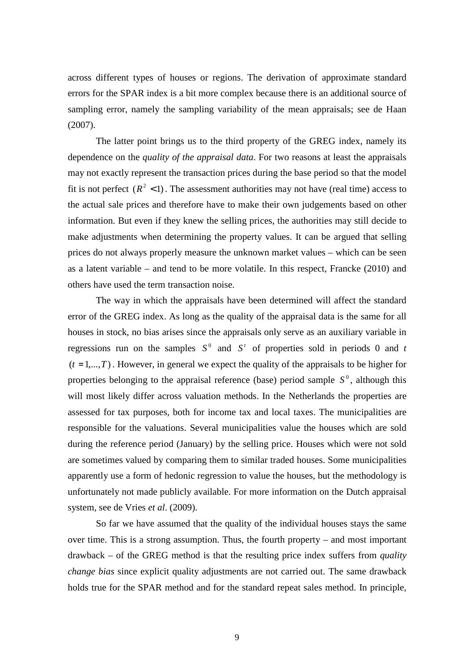across different types of houses or regions. The derivation of approximate standard errors for the SPAR index is a bit more complex because there is an additional source of sampling error, namely the sampling variability of the mean appraisals; see de Haan (2007).

The latter point brings us to the third property of the GREG index, namely its dependence on the *quality of the appraisal data*. For two reasons at least the appraisals may not exactly represent the transaction prices during the base period so that the model fit is not perfect  $(R^2 < 1)$ . The assessment authorities may not have (real time) access to the actual sale prices and therefore have to make their own judgements based on other information. But even if they knew the selling prices, the authorities may still decide to make adjustments when determining the property values. It can be argued that selling prices do not always properly measure the unknown market values – which can be seen as a latent variable – and tend to be more volatile. In this respect, Francke (2010) and others have used the term transaction noise.

The way in which the appraisals have been determined will affect the standard error of the GREG index. As long as the quality of the appraisal data is the same for all houses in stock, no bias arises since the appraisals only serve as an auxiliary variable in regressions run on the samples  $S^0$  and  $S^t$  of properties sold in periods 0 and *t*  $(t = 1, ..., T)$ . However, in general we expect the quality of the appraisals to be higher for properties belonging to the appraisal reference (base) period sample  $S^0$ , although this will most likely differ across valuation methods. In the Netherlands the properties are assessed for tax purposes, both for income tax and local taxes. The municipalities are responsible for the valuations. Several municipalities value the houses which are sold during the reference period (January) by the selling price. Houses which were not sold are sometimes valued by comparing them to similar traded houses. Some municipalities apparently use a form of hedonic regression to value the houses, but the methodology is unfortunately not made publicly available. For more information on the Dutch appraisal system, see de Vries *et al*. (2009).

So far we have assumed that the quality of the individual houses stays the same over time. This is a strong assumption. Thus, the fourth property – and most important drawback – of the GREG method is that the resulting price index suffers from *quality change bias* since explicit quality adjustments are not carried out. The same drawback holds true for the SPAR method and for the standard repeat sales method. In principle,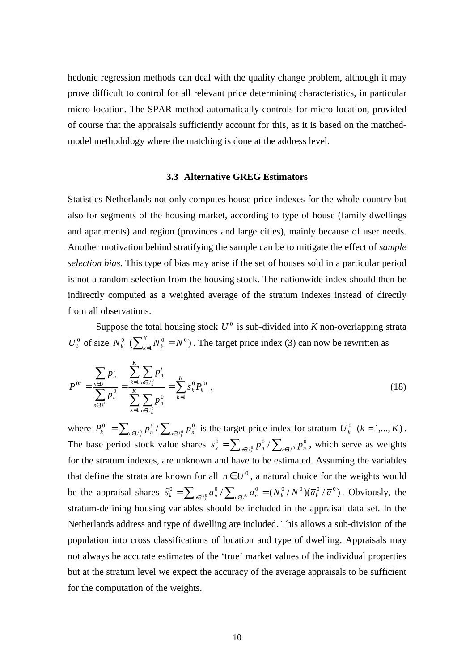hedonic regression methods can deal with the quality change problem, although it may prove difficult to control for all relevant price determining characteristics, in particular micro location. The SPAR method automatically controls for micro location, provided of course that the appraisals sufficiently account for this, as it is based on the matchedmodel methodology where the matching is done at the address level.

#### **3.3 Alternative GREG Estimators**

Statistics Netherlands not only computes house price indexes for the whole country but also for segments of the housing market, according to type of house (family dwellings and apartments) and region (provinces and large cities), mainly because of user needs. Another motivation behind stratifying the sample can be to mitigate the effect of *sample selection bias*. This type of bias may arise if the set of houses sold in a particular period is not a random selection from the housing stock. The nationwide index should then be indirectly computed as a weighted average of the stratum indexes instead of directly from all observations.

Suppose the total housing stock  $U^0$  is sub-divided into *K* non-overlapping strata  $U_k^0$  of size  $N_k^0$  ( $\sum_{k=1}^K N_k^0 = N^0$ )  $\int_{k=1}^{R} N_k^0 = N^0$ . The target price index (3) can now be rewritten as

$$
P^{0t} = \frac{\sum_{n\in U^{0}} p_n^t}{\sum_{n\in U^{0}} p_n^0} = \frac{\sum_{k=1}^K \sum_{n\in U_k^{0}} p_n^t}{\sum_{k=1}^K \sum_{n\in U_k^{0}} p_n^0} = \sum_{k=1}^K s_k^0 P_k^{0t}, \qquad (18)
$$

where  $P_k^{0t} = \sum_{n \in U_k^0} p_n^t / \sum_{n \in U_k^0} p_n^0$ *t n*  $P_k^{0t} = \sum_{n \in U_k^0} p_n^t / \sum_{n \in U_k^0} p_n^0$  is the target price index for stratum  $U_k^0$  ( $k = 1,...,K$ ). The base period stock value shares  $s_k^0 = \sum_{n \in U_k^0} p_n^0 / \sum_{n \in U_j^0} p_n^0$ , which serve as weights for the stratum indexes, are unknown and have to be estimated. Assuming the variables that define the strata are known for all  $n \in U^0$ , a natural choice for the weights would be the appraisal shares  $\hat{s}_k^0 = \sum_{n \in U_k^0} a_n^0 / \sum_{n \in U^0} a_n^0 = (N_k^0 / N^0) (\overline{a}_k^0 / \overline{a}^0)$ . Obviously, the stratum-defining housing variables should be included in the appraisal data set. In the Netherlands address and type of dwelling are included. This allows a sub-division of the population into cross classifications of location and type of dwelling. Appraisals may not always be accurate estimates of the 'true' market values of the individual properties but at the stratum level we expect the accuracy of the average appraisals to be sufficient for the computation of the weights.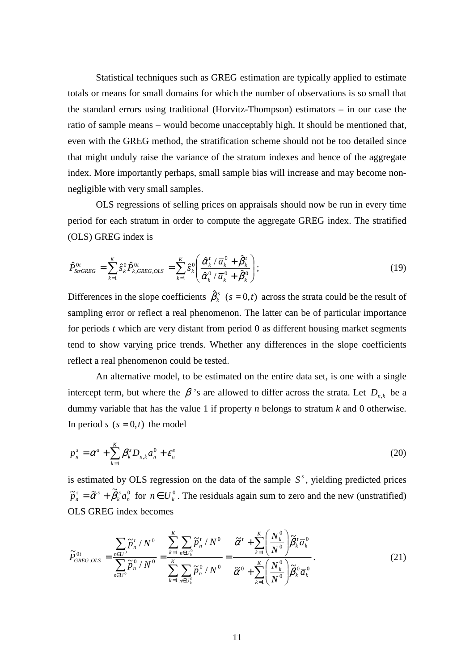Statistical techniques such as GREG estimation are typically applied to estimate totals or means for small domains for which the number of observations is so small that the standard errors using traditional (Horvitz-Thompson) estimators – in our case the ratio of sample means – would become unacceptably high. It should be mentioned that, even with the GREG method, the stratification scheme should not be too detailed since that might unduly raise the variance of the stratum indexes and hence of the aggregate index. More importantly perhaps, small sample bias will increase and may become nonnegligible with very small samples.

OLS regressions of selling prices on appraisals should now be run in every time period for each stratum in order to compute the aggregate GREG index. The stratified (OLS) GREG index is

$$
\hat{P}_{\text{StrGREG}}^{0t} = \sum_{k=1}^{K} \hat{s}_{k}^{0} \hat{P}_{k,\text{GREG},OLS}^{0t} = \sum_{k=1}^{K} \hat{s}_{k}^{0} \left( \frac{\hat{\alpha}_{k}^{t} / \overline{a}_{k}^{0} + \hat{\beta}_{k}^{t}}{\hat{\alpha}_{k}^{0} / \overline{a}_{k}^{0} + \hat{\beta}_{k}^{0}} \right);
$$
\n(19)

Differences in the slope coefficients  $\hat{\beta}_k^s$  ( $s = 0, t$ ) across the strata could be the result of sampling error or reflect a real phenomenon. The latter can be of particular importance for periods *t* which are very distant from period 0 as different housing market segments tend to show varying price trends. Whether any differences in the slope coefficients reflect a real phenomenon could be tested.

An alternative model, to be estimated on the entire data set, is one with a single intercept term, but where the  $\beta$ 's are allowed to differ across the strata. Let  $D_{n,k}$  be a dummy variable that has the value 1 if property *n* belongs to stratum *k* and 0 otherwise. In period *s*  $(s = 0, t)$  the model

$$
p_n^s = \alpha^s + \sum_{k=1}^K \beta_k^s D_{n,k} a_n^0 + \varepsilon_n^s
$$
 (20)

is estimated by OLS regression on the data of the sample  $S<sup>s</sup>$ , yielding predicted prices  $\widetilde{p}_n^s = \widetilde{\alpha}^s + \widetilde{\beta}_k^s a_n^0$ *s k*  $\tilde{p}_n^s = \tilde{\alpha}^s + \tilde{\beta}_k^s a_n^0$  for  $n \in U_k^0$ . The residuals again sum to zero and the new (unstratified) OLS GREG index becomes

$$
\widetilde{P}_{GREG,OLS}^{0t} = \frac{\sum_{n\in U^{0}} \widetilde{p}_{n}^{t} / N^{0}}{\sum_{n\in U^{0}} \widetilde{p}_{n}^{0} / N^{0}} = \frac{\sum_{k=1}^{K} \sum_{n\in U_{k}^{0}} \widetilde{p}_{n}^{t} / N^{0}}{\sum_{k=1}^{K} \sum_{n\in U_{k}^{0}} \widetilde{p}_{n}^{0} / N^{0}} = \frac{\widetilde{\alpha}^{t} + \sum_{k=1}^{K} \left(\frac{N_{k}^{0}}{N^{0}}\right) \widetilde{\beta}_{k}^{t} \overline{\alpha}_{k}^{0}}{\widetilde{\alpha}^{0} + \sum_{k=1}^{K} \left(\frac{N_{k}^{0}}{N^{0}}\right) \widetilde{\beta}_{k}^{0} \overline{\alpha}_{k}^{0}}.
$$
\n(21)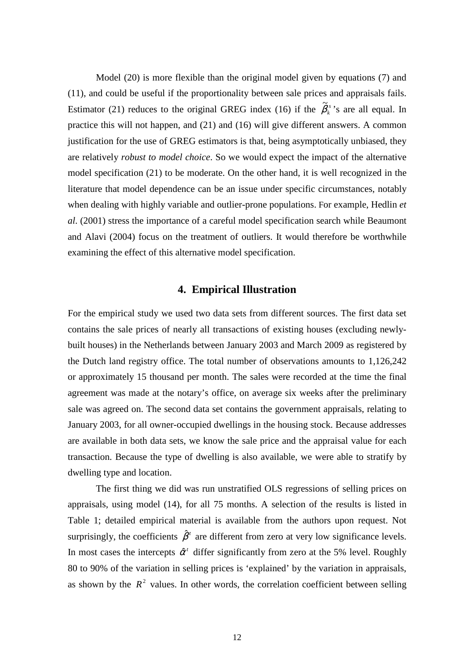Model (20) is more flexible than the original model given by equations (7) and (11), and could be useful if the proportionality between sale prices and appraisals fails. Estimator (21) reduces to the original GREG index (16) if the  $\tilde{\beta}_k^s$  $\widetilde{\beta}_{k}^{s}$ 's are all equal. In practice this will not happen, and (21) and (16) will give different answers. A common justification for the use of GREG estimators is that, being asymptotically unbiased, they are relatively *robust to model choice*. So we would expect the impact of the alternative model specification (21) to be moderate. On the other hand, it is well recognized in the literature that model dependence can be an issue under specific circumstances, notably when dealing with highly variable and outlier-prone populations. For example, Hedlin *et al*. (2001) stress the importance of a careful model specification search while Beaumont and Alavi (2004) focus on the treatment of outliers. It would therefore be worthwhile examining the effect of this alternative model specification.

## **4. Empirical Illustration**

For the empirical study we used two data sets from different sources. The first data set contains the sale prices of nearly all transactions of existing houses (excluding newlybuilt houses) in the Netherlands between January 2003 and March 2009 as registered by the Dutch land registry office. The total number of observations amounts to 1,126,242 or approximately 15 thousand per month. The sales were recorded at the time the final agreement was made at the notary's office, on average six weeks after the preliminary sale was agreed on. The second data set contains the government appraisals, relating to January 2003, for all owner-occupied dwellings in the housing stock. Because addresses are available in both data sets, we know the sale price and the appraisal value for each transaction. Because the type of dwelling is also available, we were able to stratify by dwelling type and location.

The first thing we did was run unstratified OLS regressions of selling prices on appraisals, using model (14), for all 75 months. A selection of the results is listed in Table 1; detailed empirical material is available from the authors upon request. Not surprisingly, the coefficients  $\hat{\beta}^t$  are different from zero at very low significance levels. In most cases the intercepts  $\hat{\alpha}^t$  differ significantly from zero at the 5% level. Roughly 80 to 90% of the variation in selling prices is 'explained' by the variation in appraisals, as shown by the  $R^2$  values. In other words, the correlation coefficient between selling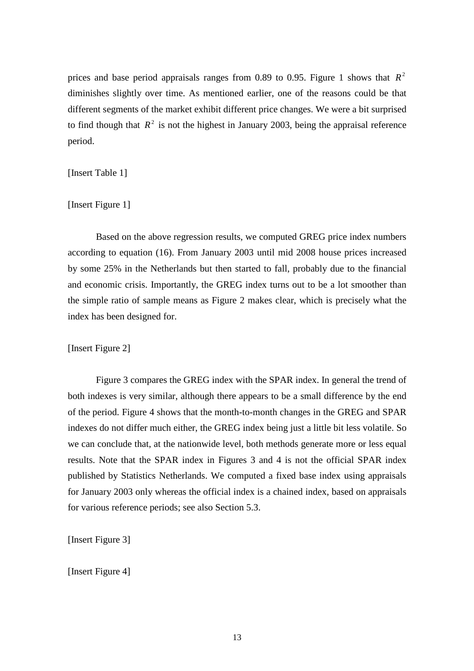prices and base period appraisals ranges from 0.89 to 0.95. Figure 1 shows that  $R^2$ diminishes slightly over time. As mentioned earlier, one of the reasons could be that different segments of the market exhibit different price changes. We were a bit surprised to find though that  $R^2$  is not the highest in January 2003, being the appraisal reference period.

[Insert Table 1]

[Insert Figure 1]

Based on the above regression results, we computed GREG price index numbers according to equation (16). From January 2003 until mid 2008 house prices increased by some 25% in the Netherlands but then started to fall, probably due to the financial and economic crisis. Importantly, the GREG index turns out to be a lot smoother than the simple ratio of sample means as Figure 2 makes clear, which is precisely what the index has been designed for.

[Insert Figure 2]

Figure 3 compares the GREG index with the SPAR index. In general the trend of both indexes is very similar, although there appears to be a small difference by the end of the period. Figure 4 shows that the month-to-month changes in the GREG and SPAR indexes do not differ much either, the GREG index being just a little bit less volatile. So we can conclude that, at the nationwide level, both methods generate more or less equal results. Note that the SPAR index in Figures 3 and 4 is not the official SPAR index published by Statistics Netherlands. We computed a fixed base index using appraisals for January 2003 only whereas the official index is a chained index, based on appraisals for various reference periods; see also Section 5.3.

[Insert Figure 3]

[Insert Figure 4]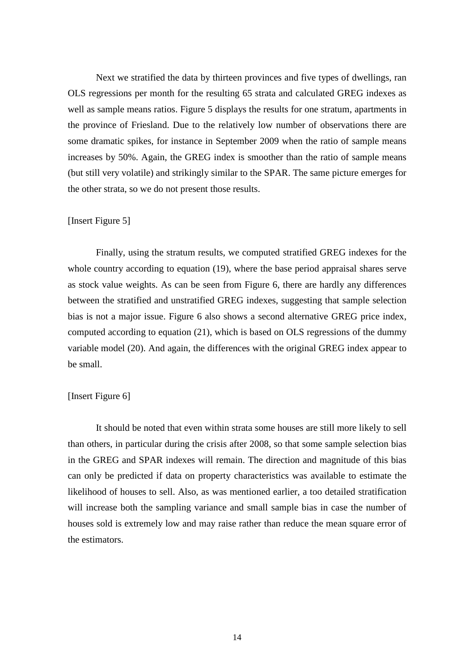Next we stratified the data by thirteen provinces and five types of dwellings, ran OLS regressions per month for the resulting 65 strata and calculated GREG indexes as well as sample means ratios. Figure 5 displays the results for one stratum, apartments in the province of Friesland. Due to the relatively low number of observations there are some dramatic spikes, for instance in September 2009 when the ratio of sample means increases by 50%. Again, the GREG index is smoother than the ratio of sample means (but still very volatile) and strikingly similar to the SPAR. The same picture emerges for the other strata, so we do not present those results.

#### [Insert Figure 5]

Finally, using the stratum results, we computed stratified GREG indexes for the whole country according to equation (19), where the base period appraisal shares serve as stock value weights. As can be seen from Figure 6, there are hardly any differences between the stratified and unstratified GREG indexes, suggesting that sample selection bias is not a major issue. Figure 6 also shows a second alternative GREG price index, computed according to equation (21), which is based on OLS regressions of the dummy variable model (20). And again, the differences with the original GREG index appear to be small.

#### [Insert Figure 6]

It should be noted that even within strata some houses are still more likely to sell than others, in particular during the crisis after 2008, so that some sample selection bias in the GREG and SPAR indexes will remain. The direction and magnitude of this bias can only be predicted if data on property characteristics was available to estimate the likelihood of houses to sell. Also, as was mentioned earlier, a too detailed stratification will increase both the sampling variance and small sample bias in case the number of houses sold is extremely low and may raise rather than reduce the mean square error of the estimators.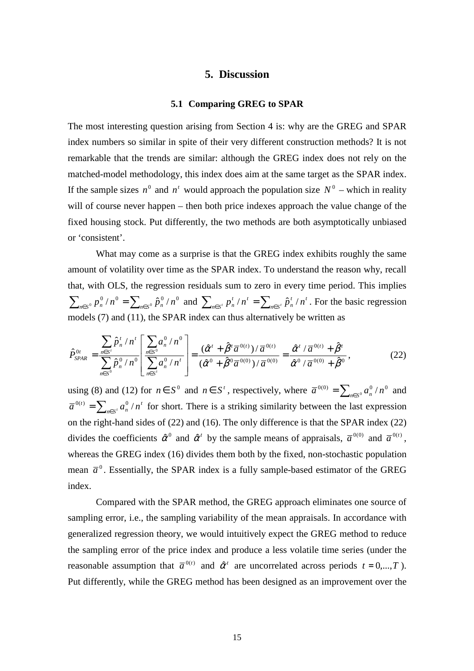## **5. Discussion**

#### **5.1 Comparing GREG to SPAR**

The most interesting question arising from Section 4 is: why are the GREG and SPAR index numbers so similar in spite of their very different construction methods? It is not remarkable that the trends are similar: although the GREG index does not rely on the matched-model methodology, this index does aim at the same target as the SPAR index. If the sample sizes  $n^0$  and  $n^t$  would approach the population size  $N^0$  – which in reality will of course never happen – then both price indexes approach the value change of the fixed housing stock. Put differently, the two methods are both asymptotically unbiased or 'consistent'.

What may come as a surprise is that the GREG index exhibits roughly the same amount of volatility over time as the SPAR index. To understand the reason why, recall that, with OLS, the regression residuals sum to zero in every time period. This implies  $\sum_{n\in S^0} p_n^0/n^0 = \sum_{n\in S^0} \hat{p}_n^0/n^0$  and  $\sum_{n\in S'} p_n^t/n^t = \sum_{n\in S'} \hat{p}_n^t/n^t$ *t n t n*∈ S  $\sum_{n \in S'} p_n^t / n^t = \sum_{n \in S'} \hat{p}_n^t / n^t$ . For the basic regression models (7) and (11), the SPAR index can thus alternatively be written as

$$
\hat{P}_{SPAR}^{0t} = \frac{\sum_{n \in S^t} \hat{p}_n^t / n^t}{\sum_{n \in S^0} \hat{p}_n^0 / n^0} \left[ \frac{\sum_{n \in S^0} a_n^0 / n^0}{\sum_{n \in S^t} a_n^0 / n^t} \right] = \frac{(\hat{\alpha}^t + \hat{\beta}^t \overline{a}^{0(t)}) / \overline{a}^{0(t)}}{(\hat{\alpha}^0 + \hat{\beta}^0 \overline{a}^{0(0)}) / \overline{a}^{0(0)}} = \frac{\hat{\alpha}^t / \overline{a}^{0(t)} + \hat{\beta}^t}{\hat{\alpha}^0 / \overline{a}^{0(0)} + \hat{\beta}^0},
$$
\n(22)

using (8) and (12) for  $n \in S^0$  and  $n \in S^t$ , respectively, where  $\overline{a}^{0(0)} = \sum_{n \in S^0} a_n^0/n^0$  and *t*  $n \in S^t$ <sup>*u*</sup> $n$ </sup>  $\overline{a}^{0(t)} = \sum_{n \in S'} a_n^0 / n^t$  for short. There is a striking similarity between the last expression on the right-hand sides of (22) and (16). The only difference is that the SPAR index (22) divides the coefficients  $\hat{\alpha}^0$  and  $\hat{\alpha}^t$  by the sample means of appraisals,  $\bar{\alpha}^{0(0)}$  and  $\bar{\alpha}^{0(t)}$ , whereas the GREG index (16) divides them both by the fixed, non-stochastic population mean  $\bar{a}^0$ . Essentially, the SPAR index is a fully sample-based estimator of the GREG index.

Compared with the SPAR method, the GREG approach eliminates one source of sampling error, i.e., the sampling variability of the mean appraisals. In accordance with generalized regression theory, we would intuitively expect the GREG method to reduce the sampling error of the price index and produce a less volatile time series (under the reasonable assumption that  $\bar{a}^{0(t)}$  and  $\hat{\alpha}^t$  are uncorrelated across periods  $t = 0,...,T$ ). Put differently, while the GREG method has been designed as an improvement over the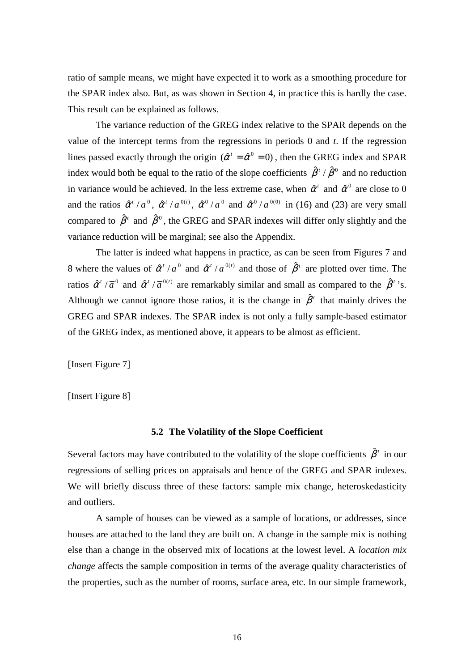ratio of sample means, we might have expected it to work as a smoothing procedure for the SPAR index also. But, as was shown in Section 4, in practice this is hardly the case. This result can be explained as follows.

The variance reduction of the GREG index relative to the SPAR depends on the value of the intercept terms from the regressions in periods 0 and *t*. If the regression lines passed exactly through the origin  $(\hat{\alpha}^t = \hat{\alpha}^0 = 0)$ , then the GREG index and SPAR index would both be equal to the ratio of the slope coefficients  $\hat{\beta}^t / \hat{\beta}^0$  and no reduction in variance would be achieved. In the less extreme case, when  $\hat{\alpha}^t$  and  $\hat{\alpha}^0$  are close to 0 and the ratios  $\hat{\alpha}^t / \overline{a}^0$ ,  $\hat{\alpha}^t / \overline{a}^{0(t)}$ ,  $\hat{\alpha}^0 / \overline{a}^0$  and  $\hat{\alpha}^0 / \overline{a}^{0(0)}$  in (16) and (23) are very small compared to  $\hat{\beta}^t$  and  $\hat{\beta}^0$ , the GREG and SPAR indexes will differ only slightly and the variance reduction will be marginal; see also the Appendix.

The latter is indeed what happens in practice, as can be seen from Figures 7 and 8 where the values of  $\hat{\alpha}^t / \overline{a}^0$  and  $\hat{\alpha}^t / \overline{a}^{0(t)}$  and those of  $\hat{\beta}^t$  are plotted over time. The ratios  $\hat{\alpha}^t / \overline{a}^0$  and  $\hat{\alpha}^t / \overline{a}^{0(t)}$  are remarkably similar and small as compared to the  $\hat{\beta}^t$ 's. Although we cannot ignore those ratios, it is the change in  $\hat{\beta}^t$  that mainly drives the GREG and SPAR indexes. The SPAR index is not only a fully sample-based estimator of the GREG index, as mentioned above, it appears to be almost as efficient.

[Insert Figure 7]

[Insert Figure 8]

## **5.2 The Volatility of the Slope Coefficient**

Several factors may have contributed to the volatility of the slope coefficients  $\hat{\beta}^i$  in our regressions of selling prices on appraisals and hence of the GREG and SPAR indexes. We will briefly discuss three of these factors: sample mix change, heteroskedasticity and outliers.

A sample of houses can be viewed as a sample of locations, or addresses, since houses are attached to the land they are built on. A change in the sample mix is nothing else than a change in the observed mix of locations at the lowest level. A *location mix change* affects the sample composition in terms of the average quality characteristics of the properties, such as the number of rooms, surface area, etc. In our simple framework,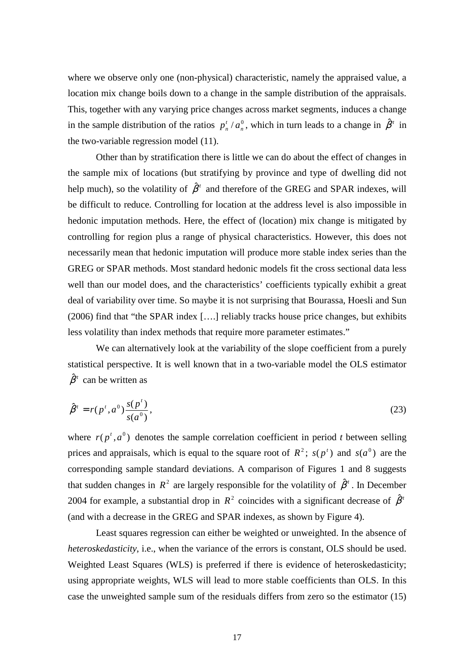where we observe only one (non-physical) characteristic, namely the appraised value, a location mix change boils down to a change in the sample distribution of the appraisals. This, together with any varying price changes across market segments, induces a change in the sample distribution of the ratios  $p_n^t / a_n^0$ *t*  $p_n^t / a_n^0$ , which in turn leads to a change in  $\hat{\beta}^t$  in the two-variable regression model (11).

Other than by stratification there is little we can do about the effect of changes in the sample mix of locations (but stratifying by province and type of dwelling did not help much), so the volatility of  $\hat{\beta}^t$  and therefore of the GREG and SPAR indexes, will be difficult to reduce. Controlling for location at the address level is also impossible in hedonic imputation methods. Here, the effect of (location) mix change is mitigated by controlling for region plus a range of physical characteristics. However, this does not necessarily mean that hedonic imputation will produce more stable index series than the GREG or SPAR methods. Most standard hedonic models fit the cross sectional data less well than our model does, and the characteristics' coefficients typically exhibit a great deal of variability over time. So maybe it is not surprising that Bourassa, Hoesli and Sun (2006) find that "the SPAR index [….] reliably tracks house price changes, but exhibits less volatility than index methods that require more parameter estimates."

We can alternatively look at the variability of the slope coefficient from a purely statistical perspective. It is well known that in a two-variable model the OLS estimator  $\hat{\beta}^t$  can be written as

$$
\hat{\beta}^t = r(p^t, a^0) \frac{s(p^t)}{s(a^0)},
$$
\n(23)

where  $r(p^t, a^0)$  denotes the sample correlation coefficient in period *t* between selling prices and appraisals, which is equal to the square root of  $R^2$ ;  $s(p^t)$  and  $s(a^0)$  are the corresponding sample standard deviations. A comparison of Figures 1 and 8 suggests that sudden changes in  $R^2$  are largely responsible for the volatility of  $\hat{\beta}^t$ . In December 2004 for example, a substantial drop in  $R^2$  coincides with a significant decrease of  $\hat{\beta}^i$ (and with a decrease in the GREG and SPAR indexes, as shown by Figure 4).

Least squares regression can either be weighted or unweighted. In the absence of *heteroskedasticity*, i.e., when the variance of the errors is constant, OLS should be used. Weighted Least Squares (WLS) is preferred if there is evidence of heteroskedasticity; using appropriate weights, WLS will lead to more stable coefficients than OLS. In this case the unweighted sample sum of the residuals differs from zero so the estimator (15)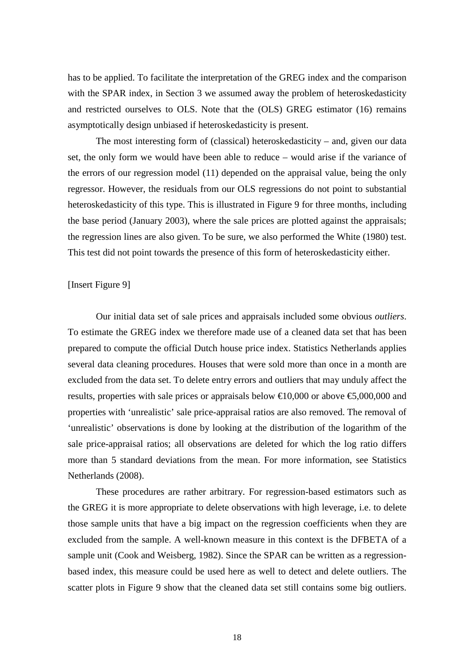has to be applied. To facilitate the interpretation of the GREG index and the comparison with the SPAR index, in Section 3 we assumed away the problem of heteroskedasticity and restricted ourselves to OLS. Note that the (OLS) GREG estimator (16) remains asymptotically design unbiased if heteroskedasticity is present.

The most interesting form of (classical) heteroskedasticity – and, given our data set, the only form we would have been able to reduce – would arise if the variance of the errors of our regression model (11) depended on the appraisal value, being the only regressor. However, the residuals from our OLS regressions do not point to substantial heteroskedasticity of this type. This is illustrated in Figure 9 for three months, including the base period (January 2003), where the sale prices are plotted against the appraisals; the regression lines are also given. To be sure, we also performed the White (1980) test. This test did not point towards the presence of this form of heteroskedasticity either.

#### [Insert Figure 9]

Our initial data set of sale prices and appraisals included some obvious *outliers*. To estimate the GREG index we therefore made use of a cleaned data set that has been prepared to compute the official Dutch house price index. Statistics Netherlands applies several data cleaning procedures. Houses that were sold more than once in a month are excluded from the data set. To delete entry errors and outliers that may unduly affect the results, properties with sale prices or appraisals below  $\text{\textsterling}10,000$  or above  $\text{\textsterling}5,000,000$  and properties with 'unrealistic' sale price-appraisal ratios are also removed. The removal of 'unrealistic' observations is done by looking at the distribution of the logarithm of the sale price-appraisal ratios; all observations are deleted for which the log ratio differs more than 5 standard deviations from the mean. For more information, see Statistics Netherlands (2008).

These procedures are rather arbitrary. For regression-based estimators such as the GREG it is more appropriate to delete observations with high leverage, i.e. to delete those sample units that have a big impact on the regression coefficients when they are excluded from the sample. A well-known measure in this context is the DFBETA of a sample unit (Cook and Weisberg, 1982). Since the SPAR can be written as a regressionbased index, this measure could be used here as well to detect and delete outliers. The scatter plots in Figure 9 show that the cleaned data set still contains some big outliers.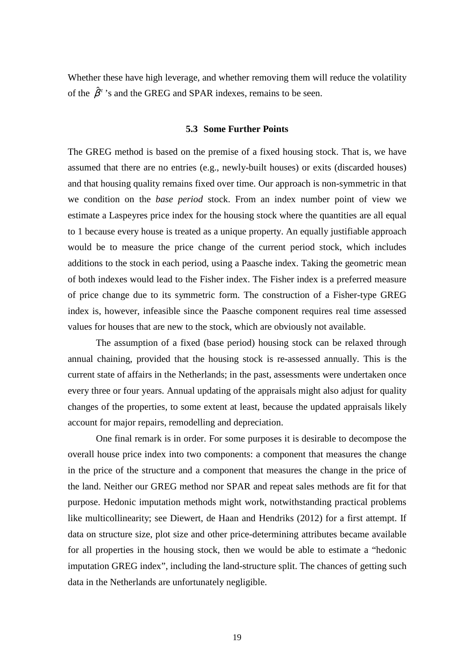Whether these have high leverage, and whether removing them will reduce the volatility of the  $\hat{\beta}^t$ 's and the GREG and SPAR indexes, remains to be seen.

#### **5.3 Some Further Points**

The GREG method is based on the premise of a fixed housing stock. That is, we have assumed that there are no entries (e.g., newly-built houses) or exits (discarded houses) and that housing quality remains fixed over time. Our approach is non-symmetric in that we condition on the *base period* stock. From an index number point of view we estimate a Laspeyres price index for the housing stock where the quantities are all equal to 1 because every house is treated as a unique property. An equally justifiable approach would be to measure the price change of the current period stock, which includes additions to the stock in each period, using a Paasche index. Taking the geometric mean of both indexes would lead to the Fisher index. The Fisher index is a preferred measure of price change due to its symmetric form. The construction of a Fisher-type GREG index is, however, infeasible since the Paasche component requires real time assessed values for houses that are new to the stock, which are obviously not available.

The assumption of a fixed (base period) housing stock can be relaxed through annual chaining, provided that the housing stock is re-assessed annually. This is the current state of affairs in the Netherlands; in the past, assessments were undertaken once every three or four years. Annual updating of the appraisals might also adjust for quality changes of the properties, to some extent at least, because the updated appraisals likely account for major repairs, remodelling and depreciation.

One final remark is in order. For some purposes it is desirable to decompose the overall house price index into two components: a component that measures the change in the price of the structure and a component that measures the change in the price of the land. Neither our GREG method nor SPAR and repeat sales methods are fit for that purpose. Hedonic imputation methods might work, notwithstanding practical problems like multicollinearity; see Diewert, de Haan and Hendriks (2012) for a first attempt. If data on structure size, plot size and other price-determining attributes became available for all properties in the housing stock, then we would be able to estimate a "hedonic imputation GREG index", including the land-structure split. The chances of getting such data in the Netherlands are unfortunately negligible.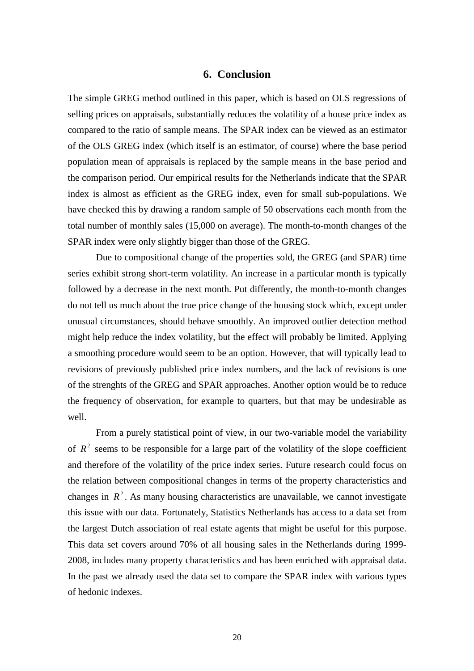## **6. Conclusion**

The simple GREG method outlined in this paper, which is based on OLS regressions of selling prices on appraisals, substantially reduces the volatility of a house price index as compared to the ratio of sample means. The SPAR index can be viewed as an estimator of the OLS GREG index (which itself is an estimator, of course) where the base period population mean of appraisals is replaced by the sample means in the base period and the comparison period. Our empirical results for the Netherlands indicate that the SPAR index is almost as efficient as the GREG index, even for small sub-populations. We have checked this by drawing a random sample of 50 observations each month from the total number of monthly sales (15,000 on average). The month-to-month changes of the SPAR index were only slightly bigger than those of the GREG.

Due to compositional change of the properties sold, the GREG (and SPAR) time series exhibit strong short-term volatility. An increase in a particular month is typically followed by a decrease in the next month. Put differently, the month-to-month changes do not tell us much about the true price change of the housing stock which, except under unusual circumstances, should behave smoothly. An improved outlier detection method might help reduce the index volatility, but the effect will probably be limited. Applying a smoothing procedure would seem to be an option. However, that will typically lead to revisions of previously published price index numbers, and the lack of revisions is one of the strenghts of the GREG and SPAR approaches. Another option would be to reduce the frequency of observation, for example to quarters, but that may be undesirable as well.

From a purely statistical point of view, in our two-variable model the variability of  $R<sup>2</sup>$  seems to be responsible for a large part of the volatility of the slope coefficient and therefore of the volatility of the price index series. Future research could focus on the relation between compositional changes in terms of the property characteristics and changes in  $R^2$ . As many housing characteristics are unavailable, we cannot investigate this issue with our data. Fortunately, Statistics Netherlands has access to a data set from the largest Dutch association of real estate agents that might be useful for this purpose. This data set covers around 70% of all housing sales in the Netherlands during 1999- 2008, includes many property characteristics and has been enriched with appraisal data. In the past we already used the data set to compare the SPAR index with various types of hedonic indexes.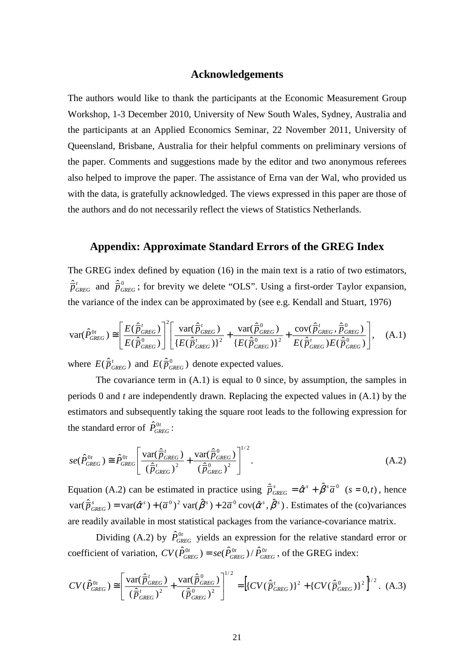## **Acknowledgements**

The authors would like to thank the participants at the Economic Measurement Group Workshop, 1-3 December 2010, University of New South Wales, Sydney, Australia and the participants at an Applied Economics Seminar, 22 November 2011, University of Queensland, Brisbane, Australia for their helpful comments on preliminary versions of the paper. Comments and suggestions made by the editor and two anonymous referees also helped to improve the paper. The assistance of Erna van der Wal, who provided us with the data, is gratefully acknowledged. The views expressed in this paper are those of the authors and do not necessarily reflect the views of Statistics Netherlands.

## **Appendix: Approximate Standard Errors of the GREG Index**

The GREG index defined by equation (16) in the main text is a ratio of two estimators,  $\hat{\overline{p}}_{GREG}^t$  and  $\hat{\overline{p}}_{GREG}^0$ ; for brevity we delete "OLS". Using a first-order Taylor expansion, the variance of the index can be approximated by (see e.g. Kendall and Stuart, 1976)

$$
\text{var}(\hat{P}_{GREG}^{0t}) \cong \left[\frac{E(\hat{\overline{P}}_{GREG}^t)}{E(\hat{\overline{P}}_{GREG}^0)}\right]^2 \left[\frac{\text{var}(\hat{\overline{P}}_{GREG}^t)}{\left\{E(\hat{\overline{P}}_{GREG}^t)\right\}^2} + \frac{\text{var}(\hat{\overline{P}}_{CREG}^0)}{\left\{E(\hat{\overline{P}}_{GREG}^0)\right\}^2} + \frac{\text{cov}(\hat{\overline{P}}_{GREG}^t, \hat{\overline{P}}_{GREG}^0)}{E(\hat{\overline{P}}_{GREG}^t)E(\hat{\overline{P}}_{OREG}^0)}\right], \quad (A.1)
$$

where  $E(\hat{\vec{p}}_{\text{GREG}}^t)$  and  $E(\hat{\vec{p}}_{\text{GREG}}^0)$  denote expected values.

The covariance term in (A.1) is equal to 0 since, by assumption, the samples in periods 0 and *t* are independently drawn. Replacing the expected values in (A.1) by the estimators and subsequently taking the square root leads to the following expression for the standard error of  $\hat{P}_{\text{GREG}}^{0t}$ :

$$
se(\hat{P}_{GREG}^{0t}) \cong \hat{P}_{GREG}^{0t} \left[ \frac{\text{var}(\hat{\overline{P}}_{GREG}^t)}{(\hat{\overline{P}}_{GREG}^t)^2} + \frac{\text{var}(\hat{\overline{P}}_{GREG}^0)}{(\hat{\overline{P}}_{GREG}^0)^2} \right]^{1/2}.
$$
\n(A.2)

Equation (A.2) can be estimated in practice using  $\hat{\vec{p}}_{GREG}^s = \hat{\alpha}^s + \hat{\beta}^s \overline{a}^0$  ( $s = 0, t$ ), hence  $var(\hat{\vec{p}}_{GREG}^s) = var(\hat{\alpha}^s) + (\overline{a}^0)^2 var(\hat{\beta}^s) + 2\overline{a}^0 cov(\hat{\alpha}^s, \hat{\beta}^s)$ . Estimates of the (co)variances are readily available in most statistical packages from the variance-covariance matrix.

Dividing (A.2) by  $\hat{P}_{GREG}^{0t}$  yields an expression for the relative standard error or coefficient of variation,  $CV(\hat{P}_{GREG}^{0t}) = se(\hat{P}_{GREG}^{0t}) / \hat{P}_{GREG}^{0t}$ *t*  $CV(\hat{P}_{GREG}^{0t}) = se(\hat{P}_{GREG}^{0t}) / \hat{P}_{GREG}^{0t}$ , of the GREG index:

$$
CV(\hat{P}_{GREG}^{0t}) \cong \left[\frac{\text{var}(\hat{\overline{P}}_{GREG}^{t})}{(\hat{\overline{P}}_{GREG}^{t})^2} + \frac{\text{var}(\hat{\overline{P}}_{GREG}^{0})}{(\hat{\overline{P}}_{GREG}^{0})^2}\right]^{1/2} = \left[ \{CV(\hat{\overline{P}}_{GREG}^{t})\}^2 + \{CV(\hat{\overline{P}}_{GREG}^{0})\}^2 \right]^{1/2}.
$$
 (A.3)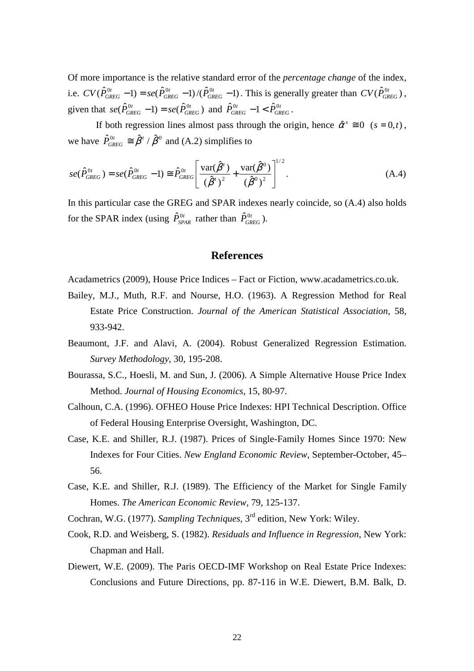Of more importance is the relative standard error of the *percentage change* of the index, i.e.  $CV(\hat{P}_{GRFG}^{0t} - 1) = se(\hat{P}_{GRFG}^{0t} - 1) / (\hat{P}_{GRFG}^{0t} - 1)$ *GREG t*  $CV(\hat{P}_{GREG}^{0t} - 1) = se(\hat{P}_{GREG}^{0t} - 1) / (\hat{P}_{GREG}^{0t} - 1)$ . This is generally greater than  $CV(\hat{P}_{GREG}^{0t})$ , given that  $se(\hat{P}_{GREG}^{0t} - 1) = se(\hat{P}_{GREG}^{0t})$ *GREG*  $se(\hat{P}_{GREG}^{0t} - 1) = se(\hat{P}_{GREG}^{0t})$  and  $\hat{P}_{GREG}^{0t} - 1 < \hat{P}_{GREG}^{0t}$ .

If both regression lines almost pass through the origin, hence  $\hat{\alpha}^s \equiv 0$  ( $s = 0, t$ ), we have  $\hat{P}_{\text{GREG}}^{0t} \cong \hat{\beta}^t / \hat{\beta}^0$  and (A.2) simplifies to

$$
se(\hat{P}_{GREG}^{0t}) = se(\hat{P}_{GREG}^{0t} - 1) \cong \hat{P}_{GREG}^{0t} \left[ \frac{\text{var}(\hat{\beta}^{t})}{(\hat{\beta}^{t})^{2}} + \frac{\text{var}(\hat{\beta}^{0})}{(\hat{\beta}^{0})^{2}} \right]^{1/2}.
$$
 (A.4)

In this particular case the GREG and SPAR indexes nearly coincide, so (A.4) also holds for the SPAR index (using  $\hat{P}_{SPAR}^{0t}$  rather than  $\hat{P}_{GREG}^{0t}$ ).

#### **References**

Acadametrics (2009), House Price Indices – Fact or Fiction, www.acadametrics.co.uk.

- Bailey, M.J., Muth, R.F. and Nourse, H.O. (1963). A Regression Method for Real Estate Price Construction. *Journal of the American Statistical Association*, 58, 933-942.
- Beaumont, J.F. and Alavi, A. (2004). Robust Generalized Regression Estimation. *Survey Methodology*, 30, 195-208.
- Bourassa, S.C., Hoesli, M. and Sun, J. (2006). A Simple Alternative House Price Index Method. *Journal of Housing Economics*, 15, 80-97.
- Calhoun, C.A. (1996). OFHEO House Price Indexes: HPI Technical Description. Office of Federal Housing Enterprise Oversight, Washington, DC.
- Case, K.E. and Shiller, R.J. (1987). Prices of Single-Family Homes Since 1970: New Indexes for Four Cities. *New England Economic Review*, September-October, 45– 56.
- Case, K.E. and Shiller, R.J. (1989). The Efficiency of the Market for Single Family Homes. *The American Economic Review*, 79, 125-137.
- Cochran, W.G. (1977). *Sampling Techniques*, 3rd edition, New York: Wiley.
- Cook, R.D. and Weisberg, S. (1982). *Residuals and Influence in Regression*, New York: Chapman and Hall.
- Diewert, W.E. (2009). The Paris OECD-IMF Workshop on Real Estate Price Indexes: Conclusions and Future Directions, pp. 87-116 in W.E. Diewert, B.M. Balk, D.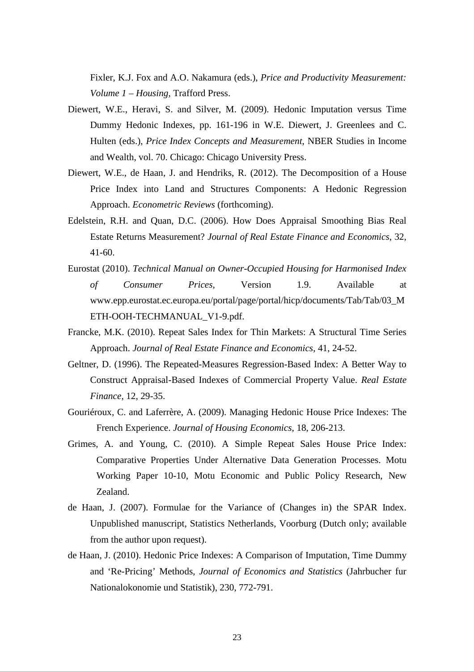Fixler, K.J. Fox and A.O. Nakamura (eds.), *Price and Productivity Measurement: Volume 1 – Housing*, Trafford Press.

- Diewert, W.E., Heravi, S. and Silver, M. (2009). Hedonic Imputation versus Time Dummy Hedonic Indexes, pp. 161-196 in W.E. Diewert, J. Greenlees and C. Hulten (eds.), *Price Index Concepts and Measurement*, NBER Studies in Income and Wealth, vol. 70. Chicago: Chicago University Press.
- Diewert, W.E., de Haan, J. and Hendriks, R. (2012). The Decomposition of a House Price Index into Land and Structures Components: A Hedonic Regression Approach. *Econometric Reviews* (forthcoming).
- Edelstein, R.H. and Quan, D.C. (2006). How Does Appraisal Smoothing Bias Real Estate Returns Measurement? *Journal of Real Estate Finance and Economics*, 32, 41-60.
- Eurostat (2010). *Technical Manual on Owner-Occupied Housing for Harmonised Index of Consumer Prices*, Version 1.9. Available at www.epp.eurostat.ec.europa.eu/portal/page/portal/hicp/documents/Tab/Tab/03\_M ETH-OOH-TECHMANUAL\_V1-9.pdf.
- Francke, M.K. (2010). Repeat Sales Index for Thin Markets: A Structural Time Series Approach. *Journal of Real Estate Finance and Economics*, 41, 24-52.
- Geltner, D. (1996). The Repeated-Measures Regression-Based Index: A Better Way to Construct Appraisal-Based Indexes of Commercial Property Value. *Real Estate Finance*, 12, 29-35.
- Gouriéroux, C. and Laferrère, A. (2009). Managing Hedonic House Price Indexes: The French Experience. *Journal of Housing Economics*, 18, 206-213.
- Grimes, A. and Young, C. (2010). A Simple Repeat Sales House Price Index: Comparative Properties Under Alternative Data Generation Processes. Motu Working Paper 10-10, Motu Economic and Public Policy Research, New Zealand.
- de Haan, J. (2007). Formulae for the Variance of (Changes in) the SPAR Index. Unpublished manuscript, Statistics Netherlands, Voorburg (Dutch only; available from the author upon request).
- de Haan, J. (2010). Hedonic Price Indexes: A Comparison of Imputation, Time Dummy and 'Re-Pricing' Methods, *Journal of Economics and Statistics* (Jahrbucher fur Nationalokonomie und Statistik), 230, 772-791.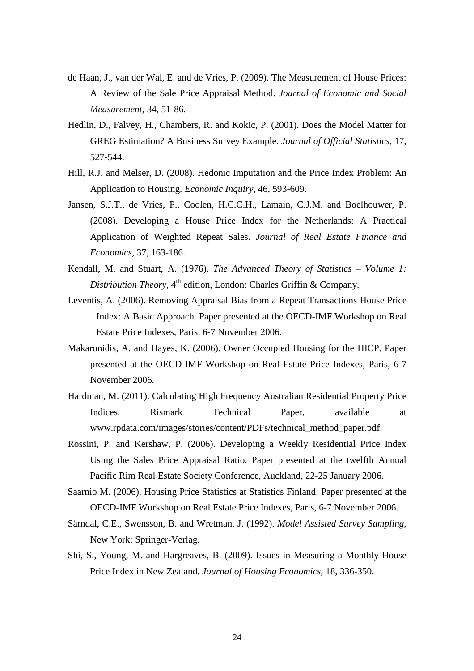- de Haan, J., van der Wal, E. and de Vries, P. (2009). The Measurement of House Prices: A Review of the Sale Price Appraisal Method. *Journal of Economic and Social Measurement*, 34, 51-86.
- Hedlin, D., Falvey, H., Chambers, R. and Kokic, P. (2001). Does the Model Matter for GREG Estimation? A Business Survey Example. *Journal of Official Statistics*, 17, 527-544.
- Hill, R.J. and Melser, D. (2008). Hedonic Imputation and the Price Index Problem: An Application to Housing. *Economic Inquiry*, 46, 593-609.
- Jansen, S.J.T., de Vries, P., Coolen, H.C.C.H., Lamain, C.J.M. and Boelhouwer, P. (2008). Developing a House Price Index for the Netherlands: A Practical Application of Weighted Repeat Sales. *Journal of Real Estate Finance and Economics*, 37, 163-186.
- Kendall, M. and Stuart, A. (1976). *The Advanced Theory of Statistics Volume 1: Distribution Theory*, 4<sup>th</sup> edition, London: Charles Griffin & Company.
- Leventis, A. (2006). Removing Appraisal Bias from a Repeat Transactions House Price Index: A Basic Approach. Paper presented at the OECD-IMF Workshop on Real Estate Price Indexes, Paris, 6-7 November 2006.
- Makaronidis, A. and Hayes, K. (2006). Owner Occupied Housing for the HICP. Paper presented at the OECD-IMF Workshop on Real Estate Price Indexes, Paris, 6-7 November 2006.
- Hardman, M. (2011). Calculating High Frequency Australian Residential Property Price Indices. Rismark Technical Paper, available at www.rpdata.com/images/stories/content/PDFs/technical\_method\_paper.pdf.
- Rossini, P. and Kershaw, P. (2006). Developing a Weekly Residential Price Index Using the Sales Price Appraisal Ratio. Paper presented at the twelfth Annual Pacific Rim Real Estate Society Conference, Auckland, 22-25 January 2006.
- Saarnio M. (2006). Housing Price Statistics at Statistics Finland. Paper presented at the OECD-IMF Workshop on Real Estate Price Indexes, Paris, 6-7 November 2006.
- Särndal, C.E., Swensson, B. and Wretman, J. (1992). *Model Assisted Survey Sampling*, New York: Springer-Verlag.
- Shi, S., Young, M. and Hargreaves, B. (2009). Issues in Measuring a Monthly House Price Index in New Zealand. *Journal of Housing Economics*, 18, 336-350.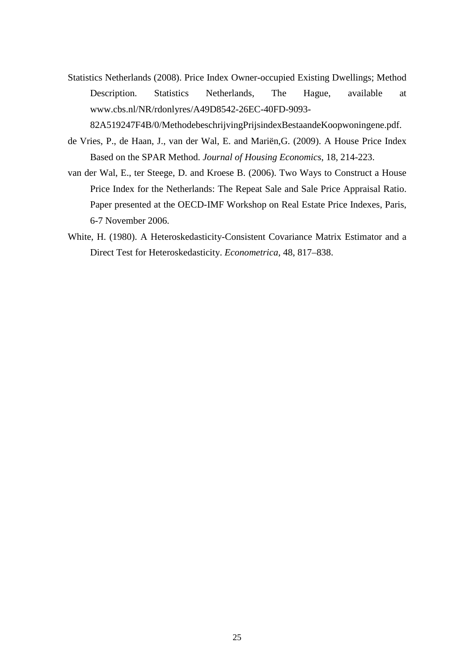Statistics Netherlands (2008). Price Index Owner-occupied Existing Dwellings; Method Description. Statistics Netherlands, The Hague, available at www.cbs.nl/NR/rdonlyres/A49D8542-26EC-40FD-9093-

82A519247F4B/0/MethodebeschrijvingPrijsindexBestaandeKoopwoningene.pdf.

- de Vries, P., de Haan, J., van der Wal, E. and Mariën,G. (2009). A House Price Index Based on the SPAR Method. *Journal of Housing Economics*, 18, 214-223.
- van der Wal, E., ter Steege, D. and Kroese B. (2006). Two Ways to Construct a House Price Index for the Netherlands: The Repeat Sale and Sale Price Appraisal Ratio. Paper presented at the OECD-IMF Workshop on Real Estate Price Indexes, Paris, 6-7 November 2006.
- White, H. (1980). A Heteroskedasticity-Consistent Covariance Matrix Estimator and a Direct Test for Heteroskedasticity. *Econometrica*, 48, 817–838.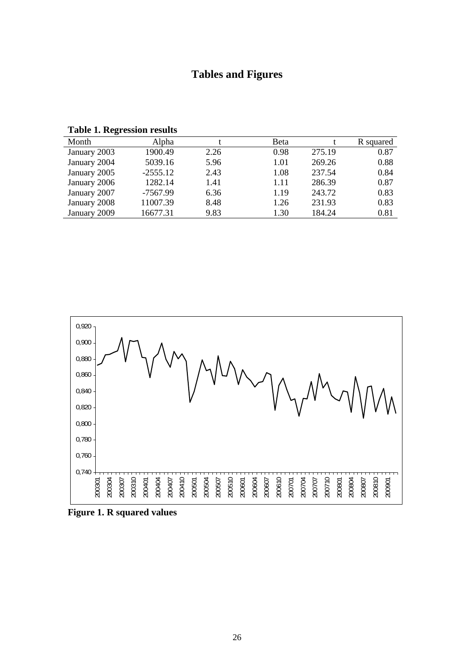## **Tables and Figures**

**Table 1. Regression results** 

| 0            |            |      |      |        |           |
|--------------|------------|------|------|--------|-----------|
| Month        | Alpha      |      | Beta |        | R squared |
| January 2003 | 1900.49    | 2.26 | 0.98 | 275.19 | 0.87      |
| January 2004 | 5039.16    | 5.96 | 1.01 | 269.26 | 0.88      |
| January 2005 | $-2555.12$ | 2.43 | 1.08 | 237.54 | 0.84      |
| January 2006 | 1282.14    | 1.41 | 1.11 | 286.39 | 0.87      |
| January 2007 | $-7567.99$ | 6.36 | 1.19 | 243.72 | 0.83      |
| January 2008 | 11007.39   | 8.48 | 1.26 | 231.93 | 0.83      |
| January 2009 | 16677.31   | 9.83 | 1.30 | 184.24 | 0.81      |
|              |            |      |      |        |           |



**Figure 1. R squared values**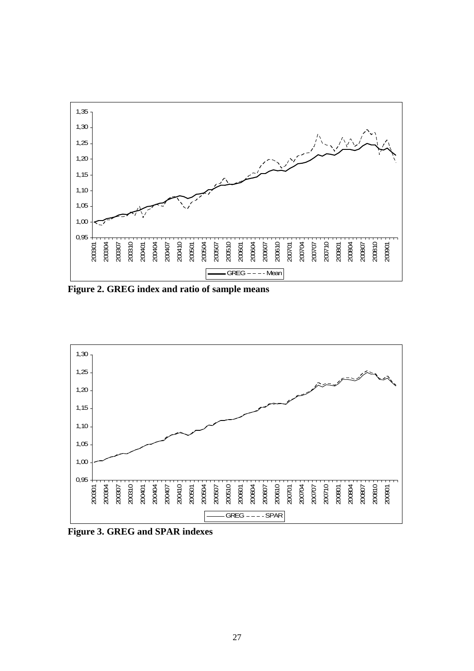

**Figure 2. GREG index and ratio of sample means** 



**Figure 3. GREG and SPAR indexes**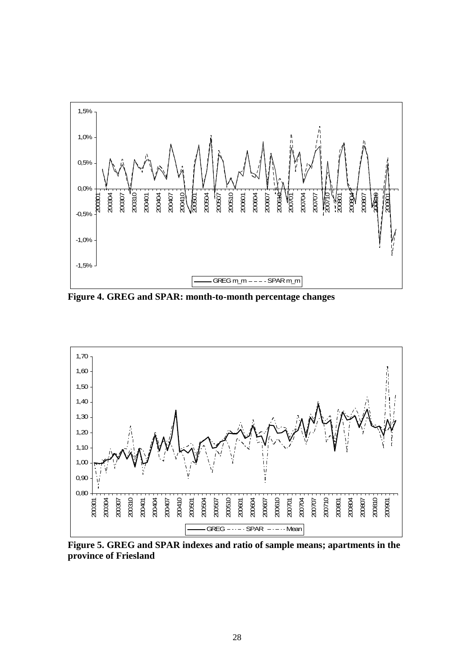

**Figure 4. GREG and SPAR: month-to-month percentage changes** 



**Figure 5. GREG and SPAR indexes and ratio of sample means; apartments in the province of Friesland**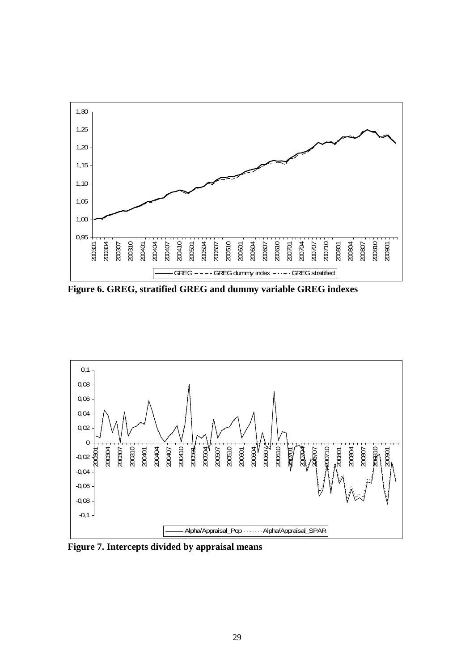

**Figure 6. GREG, stratified GREG and dummy variable GREG indexes** 



**Figure 7. Intercepts divided by appraisal means**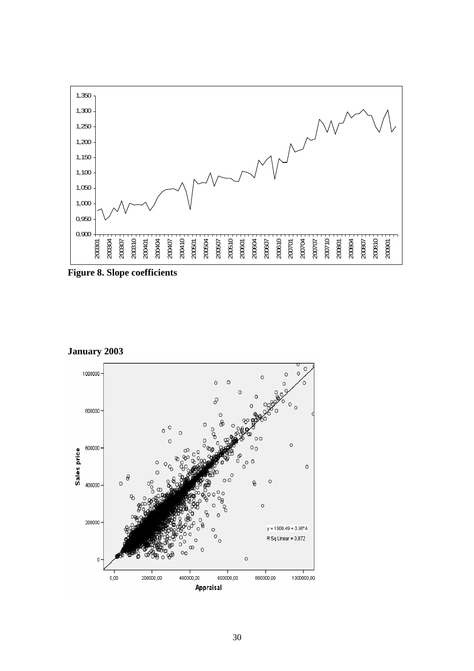

**Figure 8. Slope coefficients** 

**January 2003**